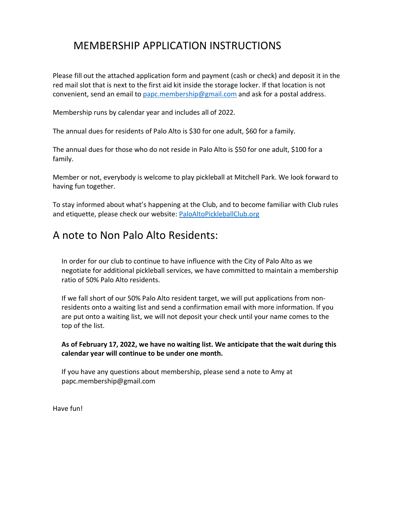## MEMBERSHIP APPLICATION INSTRUCTIONS

Please fill out the attached application form and payment (cash or check) and deposit it in the red mail slot that is next to the first aid kit inside the storage locker. If that location is not convenient, send an email to papc.membership@gmail.com and ask for a postal address.

Membership runs by calendar year and includes all of 2022.

The annual dues for residents of Palo Alto is \$30 for one adult, \$60 for a family.

The annual dues for those who do not reside in Palo Alto is \$50 for one adult, \$100 for a family.

Member or not, everybody is welcome to play pickleball at Mitchell Park. We look forward to having fun together.

To stay informed about what's happening at the Club, and to become familiar with Club rules and etiquette, please check our website: PaloAltoPickleballClub.org

## A note to Non Palo Alto Residents:

In order for our club to continue to have influence with the City of Palo Alto as we negotiate for additional pickleball services, we have committed to maintain a membership ratio of 50% Palo Alto residents.

If we fall short of our 50% Palo Alto resident target, we will put applications from nonresidents onto a waiting list and send a confirmation email with more information. If you are put onto a waiting list, we will not deposit your check until your name comes to the top of the list.

## **As of February 17, 2022, we have no waiting list. We anticipate that the wait during this calendar year will continue to be under one month.**

If you have any questions about membership, please send a note to Amy at papc.membership@gmail.com

Have fun!